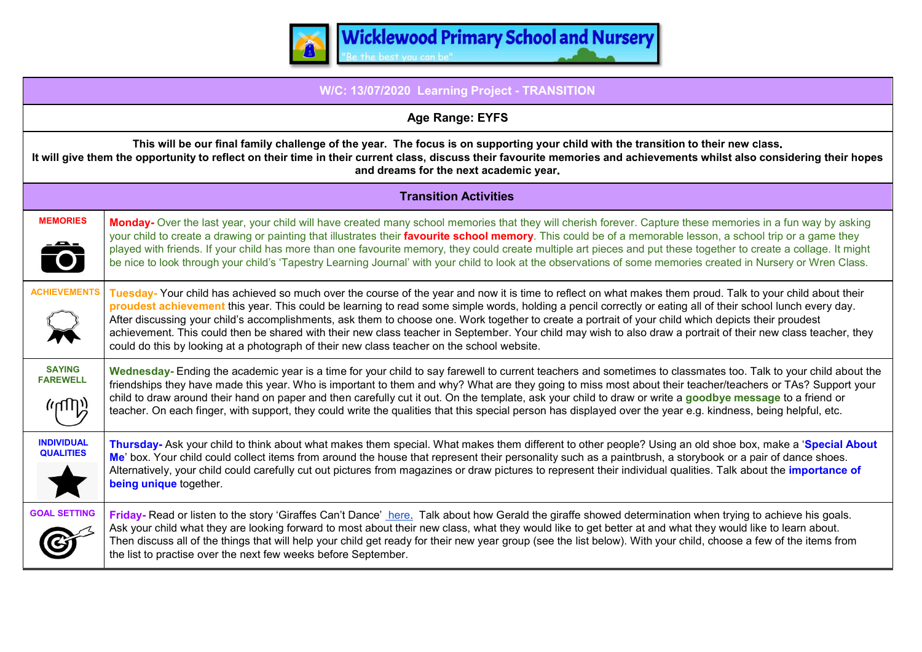

| W/C: 13/07/2020 Learning Project - TRANSITION                                                                                                                                                                                                                                                                                                            |                                                                                                                                                                                                                                                                                                                                                                                                                                                                                                                                                                                                                                                                                                                                                   |  |  |  |  |
|----------------------------------------------------------------------------------------------------------------------------------------------------------------------------------------------------------------------------------------------------------------------------------------------------------------------------------------------------------|---------------------------------------------------------------------------------------------------------------------------------------------------------------------------------------------------------------------------------------------------------------------------------------------------------------------------------------------------------------------------------------------------------------------------------------------------------------------------------------------------------------------------------------------------------------------------------------------------------------------------------------------------------------------------------------------------------------------------------------------------|--|--|--|--|
| Age Range: EYFS                                                                                                                                                                                                                                                                                                                                          |                                                                                                                                                                                                                                                                                                                                                                                                                                                                                                                                                                                                                                                                                                                                                   |  |  |  |  |
| This will be our final family challenge of the year. The focus is on supporting your child with the transition to their new class.<br>It will give them the opportunity to reflect on their time in their current class, discuss their favourite memories and achievements whilst also considering their hopes<br>and dreams for the next academic year. |                                                                                                                                                                                                                                                                                                                                                                                                                                                                                                                                                                                                                                                                                                                                                   |  |  |  |  |
| <b>Transition Activities</b>                                                                                                                                                                                                                                                                                                                             |                                                                                                                                                                                                                                                                                                                                                                                                                                                                                                                                                                                                                                                                                                                                                   |  |  |  |  |
| <b>MEMORIES</b><br>$\bullet$                                                                                                                                                                                                                                                                                                                             | Monday- Over the last year, your child will have created many school memories that they will cherish forever. Capture these memories in a fun way by asking<br>your child to create a drawing or painting that illustrates their favourite school memory. This could be of a memorable lesson, a school trip or a game they<br>played with friends. If your child has more than one favourite memory, they could create multiple art pieces and put these together to create a collage. It might<br>be nice to look through your child's 'Tapestry Learning Journal' with your child to look at the observations of some memories created in Nursery or Wren Class.                                                                               |  |  |  |  |
| <b>ACHIEVEMENTS</b>                                                                                                                                                                                                                                                                                                                                      | Tuesday-Your child has achieved so much over the course of the year and now it is time to reflect on what makes them proud. Talk to your child about their<br>proudest achievement this year. This could be learning to read some simple words, holding a pencil correctly or eating all of their school lunch every day.<br>After discussing your child's accomplishments, ask them to choose one. Work together to create a portrait of your child which depicts their proudest<br>achievement. This could then be shared with their new class teacher in September. Your child may wish to also draw a portrait of their new class teacher, they<br>could do this by looking at a photograph of their new class teacher on the school website. |  |  |  |  |
| <b>SAYING</b><br><b>FAREWELL</b><br>(יווחה)                                                                                                                                                                                                                                                                                                              | Wednesday- Ending the academic year is a time for your child to say farewell to current teachers and sometimes to classmates too. Talk to your child about the<br>friendships they have made this year. Who is important to them and why? What are they going to miss most about their teacher/teachers or TAs? Support your<br>child to draw around their hand on paper and then carefully cut it out. On the template, ask your child to draw or write a goodbye message to a friend or<br>teacher. On each finger, with support, they could write the qualities that this special person has displayed over the year e.g. kindness, being helpful, etc.                                                                                        |  |  |  |  |
| <b>INDIVIDUAL</b><br><b>QUALITIES</b>                                                                                                                                                                                                                                                                                                                    | Thursday- Ask your child to think about what makes them special. What makes them different to other people? Using an old shoe box, make a 'Special About<br>Me' box. Your child could collect items from around the house that represent their personality such as a paintbrush, a storybook or a pair of dance shoes.<br>Alternatively, your child could carefully cut out pictures from magazines or draw pictures to represent their individual qualities. Talk about the <i>importance of</i><br>being unique together.                                                                                                                                                                                                                       |  |  |  |  |
| <b>GOAL SETTING</b>                                                                                                                                                                                                                                                                                                                                      | Friday- Read or listen to the story 'Giraffes Can't Dance' here. Talk about how Gerald the giraffe showed determination when trying to achieve his goals.<br>Ask your child what they are looking forward to most about their new class, what they would like to get better at and what they would like to learn about.<br>Then discuss all of the things that will help your child get ready for their new year group (see the list below). With your child, choose a few of the items from<br>the list to practise over the next few weeks before September.                                                                                                                                                                                    |  |  |  |  |